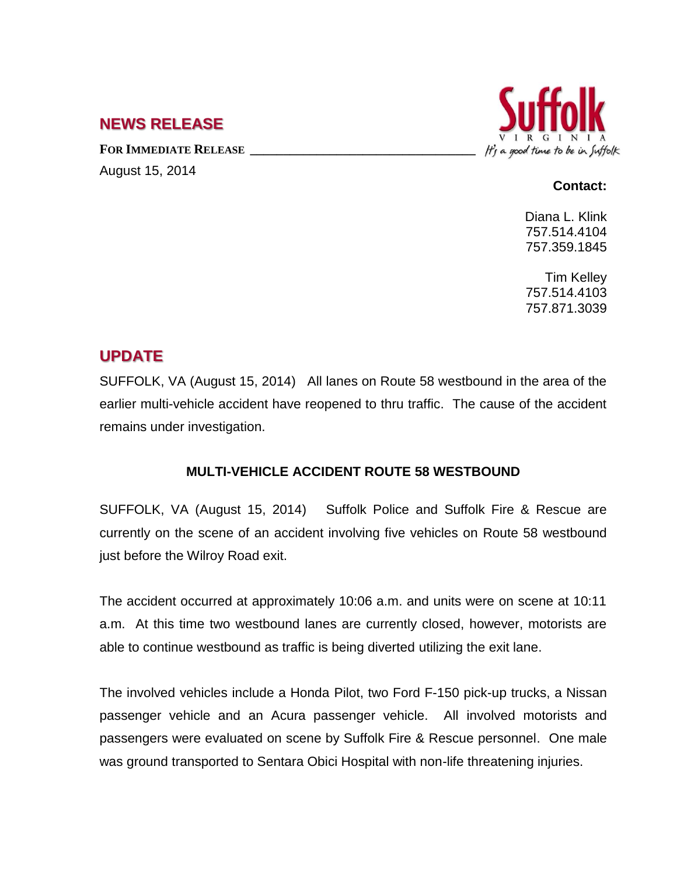## **NEWS RELEASE**

August 15, 2014

**FOR IMMEDIATE RELEASE \_\_\_\_\_\_\_\_\_\_\_\_\_\_\_\_\_\_\_\_\_\_\_\_\_\_\_\_\_\_\_\_\_\_**



## **Contact:**

Diana L. Klink 757.514.4104 757.359.1845

Tim Kelley 757.514.4103 757.871.3039

## **UPDATE**

SUFFOLK, VA (August 15, 2014) All lanes on Route 58 westbound in the area of the earlier multi-vehicle accident have reopened to thru traffic. The cause of the accident remains under investigation.

## **MULTI-VEHICLE ACCIDENT ROUTE 58 WESTBOUND**

SUFFOLK, VA (August 15, 2014) Suffolk Police and Suffolk Fire & Rescue are currently on the scene of an accident involving five vehicles on Route 58 westbound just before the Wilroy Road exit.

The accident occurred at approximately 10:06 a.m. and units were on scene at 10:11 a.m. At this time two westbound lanes are currently closed, however, motorists are able to continue westbound as traffic is being diverted utilizing the exit lane.

The involved vehicles include a Honda Pilot, two Ford F-150 pick-up trucks, a Nissan passenger vehicle and an Acura passenger vehicle. All involved motorists and passengers were evaluated on scene by Suffolk Fire & Rescue personnel. One male was ground transported to Sentara Obici Hospital with non-life threatening injuries.